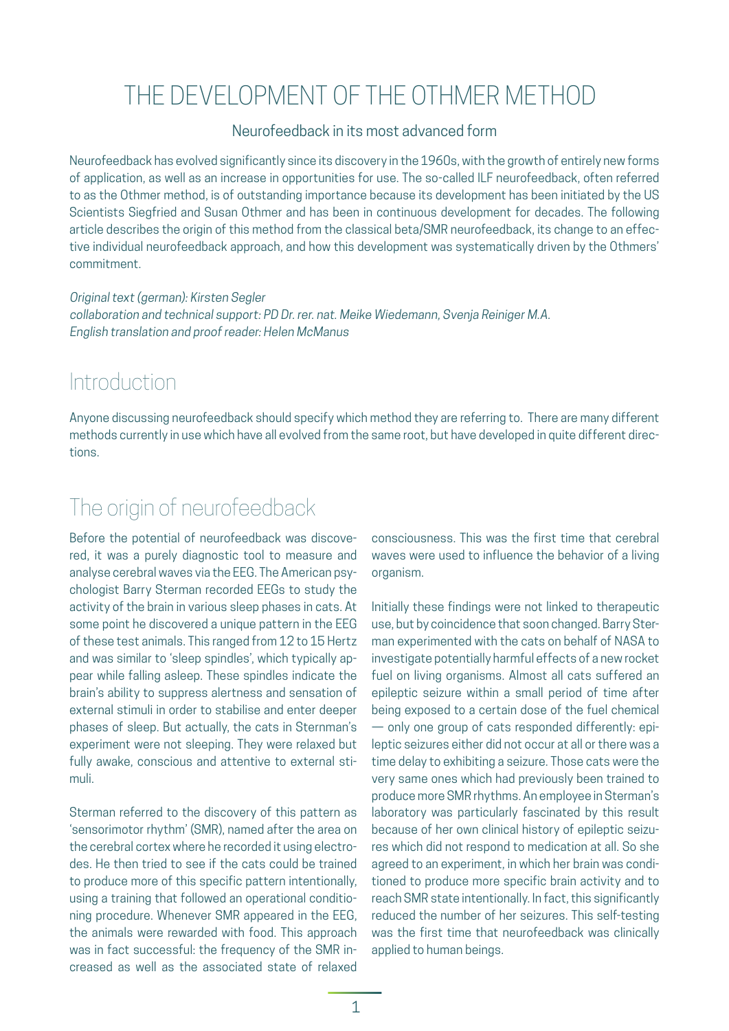# THE DEVELOPMENT OF THE OTHMER METHOD

#### Neurofeedback in its most advanced form

Neurofeedback has evolved significantly since its discovery in the 1960s, with the growth of entirely new forms of application, as well as an increase in opportunities for use. The so-called ILF neurofeedback, often referred to as the Othmer method, is of outstanding importance because its development has been initiated by the US Scientists Siegfried and Susan Othmer and has been in continuous development for decades. The following article describes the origin of this method from the classical beta/SMR neurofeedback, its change to an effective individual neurofeedback approach, and how this development was systematically driven by the Othmers' commitment.

Original text (german): Kirsten Segler collaboration and technical support: PD Dr. rer. nat. Meike Wiedemann, Svenja Reiniger M.A. English translation and proof reader: Helen McManus

#### **Introduction**

Anyone discussing neurofeedback should specify which method they are referring to. There are many different methods currently in use which have all evolved from the same root, but have developed in quite different directions.

# The origin of neurofeedback

Before the potential of neurofeedback was discovered, it was a purely diagnostic tool to measure and analyse cerebral waves via the EEG. The American psychologist Barry Sterman recorded EEGs to study the activity of the brain in various sleep phases in cats. At some point he discovered a unique pattern in the EEG of these test animals. This ranged from 12 to 15 Hertz and was similar to 'sleep spindles', which typically appear while falling asleep. These spindles indicate the brain's ability to suppress alertness and sensation of external stimuli in order to stabilise and enter deeper phases of sleep. But actually, the cats in Sternman's experiment were not sleeping. They were relaxed but fully awake, conscious and attentive to external stimuli.

Sterman referred to the discovery of this pattern as 'sensorimotor rhythm' (SMR), named after the area on the cerebral cortex where he recorded it using electrodes. He then tried to see if the cats could be trained to produce more of this specific pattern intentionally, using a training that followed an operational conditioning procedure. Whenever SMR appeared in the EEG, the animals were rewarded with food. This approach was in fact successful: the frequency of the SMR increased as well as the associated state of relaxed

consciousness. This was the first time that cerebral waves were used to influence the behavior of a living organism.

Initially these findings were not linked to therapeutic use, but by coincidence that soon changed. Barry Sterman experimented with the cats on behalf of NASA to investigate potentially harmful effects of a new rocket fuel on living organisms. Almost all cats suffered an epileptic seizure within a small period of time after being exposed to a certain dose of the fuel chemical — only one group of cats responded differently: epileptic seizures either did not occur at all or there was a time delay to exhibiting a seizure. Those cats were the very same ones which had previously been trained to produce more SMR rhythms. An employee in Sterman's laboratory was particularly fascinated by this result because of her own clinical history of epileptic seizures which did not respond to medication at all. So she agreed to an experiment, in which her brain was conditioned to produce more specific brain activity and to reach SMR state intentionally. In fact, this significantly reduced the number of her seizures. This self-testing was the first time that neurofeedback was clinically applied to human beings.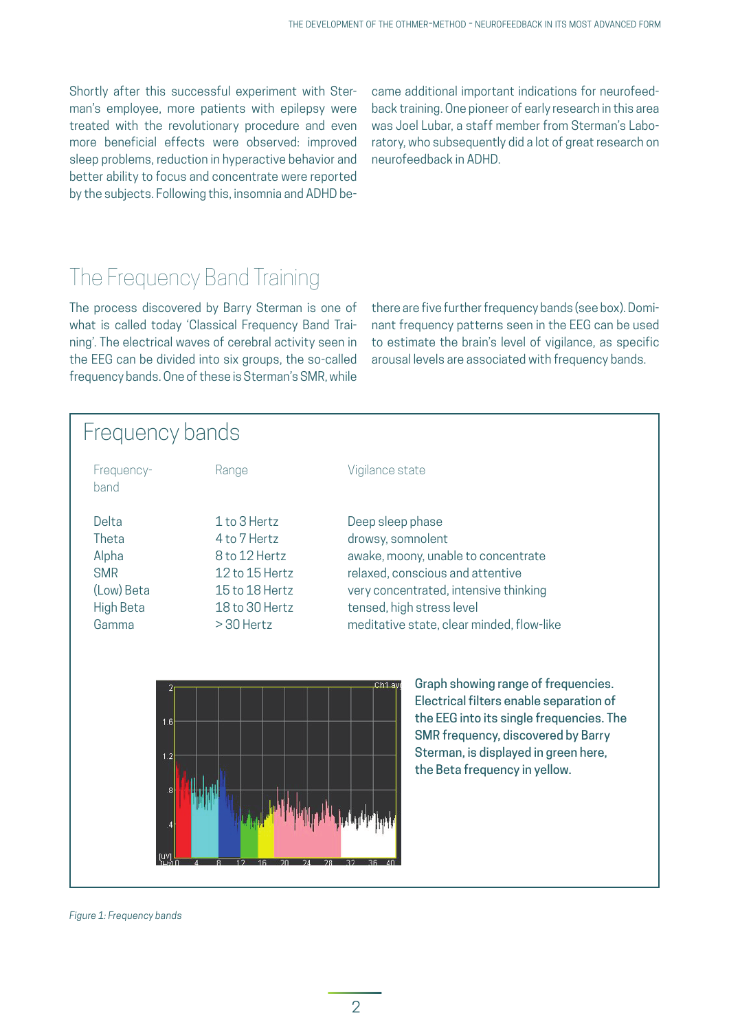Shortly after this successful experiment with Sterman's employee, more patients with epilepsy were treated with the revolutionary procedure and even more beneficial effects were observed: improved sleep problems, reduction in hyperactive behavior and better ability to focus and concentrate were reported by the subjects. Following this, insomnia and ADHD be-

came additional important indications for neurofeedback training. One pioneer of early research in this area was Joel Lubar, a staff member from Sterman's Laboratory, who subsequently did a lot of great research on neurofeedback in ADHD.

# The Frequency Band Training

The process discovered by Barry Sterman is one of what is called today 'Classical Frequency Band Training'. The electrical waves of cerebral activity seen in the EEG can be divided into six groups, the so-called frequency bands. One of these is Sterman's SMR, while there are five further frequency bands (see box). Dominant frequency patterns seen in the EEG can be used to estimate the brain's level of vigilance, as specific arousal levels are associated with frequency bands.

### Frequency bands Frequency- Range Vigilance state band Delta 1 to 3 Hertz Deep sleep phase Theta 4 to 7 Hertz drowsy, somnolent Alpha 8 to 12 Hertz awake, moony, unable to concentrate SMR 12 to 15 Hertz relaxed, conscious and attentive (Low) Beta 15 to 18 Hertz very concentrated, intensive thinking High Beta 18 to 30 Hertz tensed, high stress level Gamma  $> 30$  Hertz meditative state, clear minded, flow-like Graph showing range of frequencies. Electrical filters enable separation of the EEG into its single frequencies. The SMR frequency, discovered by Barry

Sterman, is displayed in green here, the Beta frequency in yellow.

*Figure 1: Frequency bands*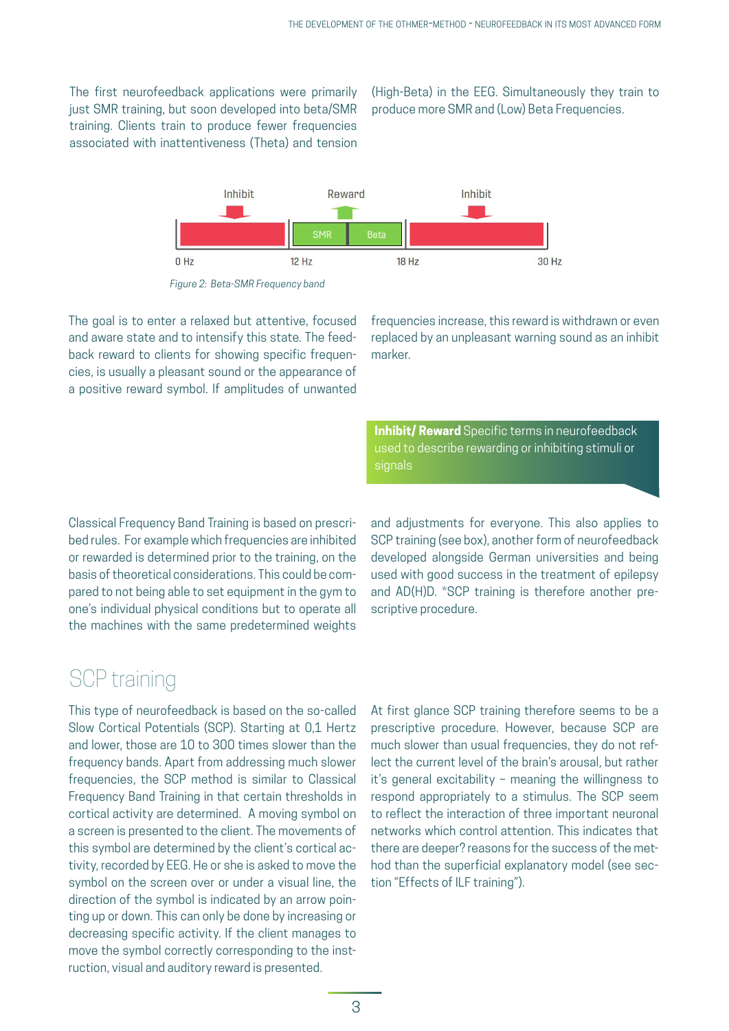The first neurofeedback applications were primarily just SMR training, but soon developed into beta/SMR training. Clients train to produce fewer frequencies associated with inattentiveness (Theta) and tension

(High-Beta) in the EEG. Simultaneously they train to produce more SMR and (Low) Beta Frequencies.



*Figure 2: Beta-SMR Frequency band*

The goal is to enter a relaxed but attentive, focused and aware state and to intensify this state. The feedback reward to clients for showing specific frequencies, is usually a pleasant sound or the appearance of a positive reward symbol. If amplitudes of unwanted frequencies increase, this reward is withdrawn or even replaced by an unpleasant warning sound as an inhibit marker.

**Inhibit/ Reward** Specific terms in neurofeedback used to describe rewarding or inhibiting stimuli or signals

Classical Frequency Band Training is based on prescribed rules. For example which frequencies are inhibited or rewarded is determined prior to the training, on the basis of theoretical considerations. This could be compared to not being able to set equipment in the gym to one's individual physical conditions but to operate all the machines with the same predetermined weights

and adjustments for everyone. This also applies to SCP training (see box), another form of neurofeedback developed alongside German universities and being used with good success in the treatment of epilepsy and AD(H)D. \*SCP training is therefore another prescriptive procedure.

### SCP training

This type of neurofeedback is based on the so-called Slow Cortical Potentials (SCP). Starting at 0,1 Hertz and lower, those are 10 to 300 times slower than the frequency bands. Apart from addressing much slower frequencies, the SCP method is similar to Classical Frequency Band Training in that certain thresholds in cortical activity are determined. A moving symbol on a screen is presented to the client. The movements of this symbol are determined by the client's cortical activity, recorded by EEG. He or she is asked to move the symbol on the screen over or under a visual line, the direction of the symbol is indicated by an arrow pointing up or down. This can only be done by increasing or decreasing specific activity. If the client manages to move the symbol correctly corresponding to the instruction, visual and auditory reward is presented.

At first glance SCP training therefore seems to be a prescriptive procedure. However, because SCP are much slower than usual frequencies, they do not reflect the current level of the brain's arousal, but rather it's general excitability – meaning the willingness to respond appropriately to a stimulus. The SCP seem to reflect the interaction of three important neuronal networks which control attention. This indicates that there are deeper? reasons for the success of the method than the superficial explanatory model (see section "Effects of ILF training").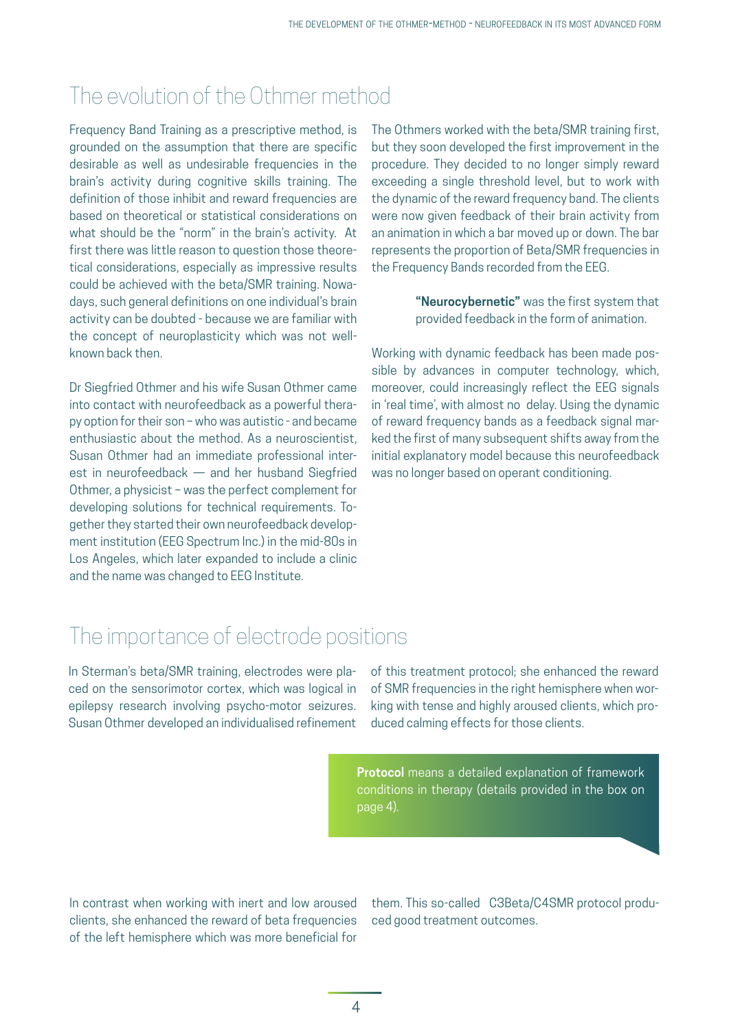### The evolution of the Othmer method

Frequency Band Training as a prescriptive method, is grounded on the assumption that there are specific desirable as well as undesirable frequencies in the brain's activity during cognitive skills training. The definition of those inhibit and reward frequencies are based on theoretical or statistical considerations on what should be the "norm" in the brain's activity. At first there was little reason to question those theoretical considerations, especially as impressive results could be achieved with the beta/SMR training. Nowadays, such general definitions on one individual's brain activity can be doubted - because we are familiar with the concept of neuroplasticity which was not wellknown back then.

Dr Siegfried Othmer and his wife Susan Othmer came into contact with neurofeedback as a powerful therapy option for their son – who was autistic - and became enthusiastic about the method. As a neuroscientist, Susan Othmer had an immediate professional interest in neurofeedback — and her husband Siegfried Othmer, a physicist – was the perfect complement for developing solutions for technical requirements. Together they started their own neurofeedback development institution (EEG Spectrum Inc.) in the mid-80s in Los Angeles, which later expanded to include a clinic and the name was changed to EEG Institute.

The Othmers worked with the beta/SMR training first, but they soon developed the first improvement in the procedure. They decided to no longer simply reward exceeding a single threshold level, but to work with the dynamic of the reward frequency band. The clients were now given feedback of their brain activity from an animation in which a bar moved up or down. The bar represents the proportion of Beta/SMR frequencies in the Frequency Bands recorded from the EEG.

> **"Neurocybernetic"** was the first system that provided feedback in the form of animation.

Working with dynamic feedback has been made possible by advances in computer technology, which, moreover, could increasingly reflect the EEG signals in 'real time', with almost no delay. Using the dynamic of reward frequency bands as a feedback signal marked the first of many subsequent shifts away from the initial explanatory model because this neurofeedback was no longer based on operant conditioning.

### The importance of electrode positions

In Sterman's beta/SMR training, electrodes were placed on the sensorimotor cortex, which was logical in epilepsy research involving psycho-motor seizures. Susan Othmer developed an individualised refinement of this treatment protocol; she enhanced the reward of SMR frequencies in the right hemisphere when working with tense and highly aroused clients, which produced calming effects for those clients.

**Protocol** means a detailed explanation of framework conditions in therapy (details provided in the box on page 4).

In contrast when working with inert and low aroused clients, she enhanced the reward of beta frequencies of the left hemisphere which was more beneficial for

them. This so-called C3Beta/C4SMR protocol produced good treatment outcomes.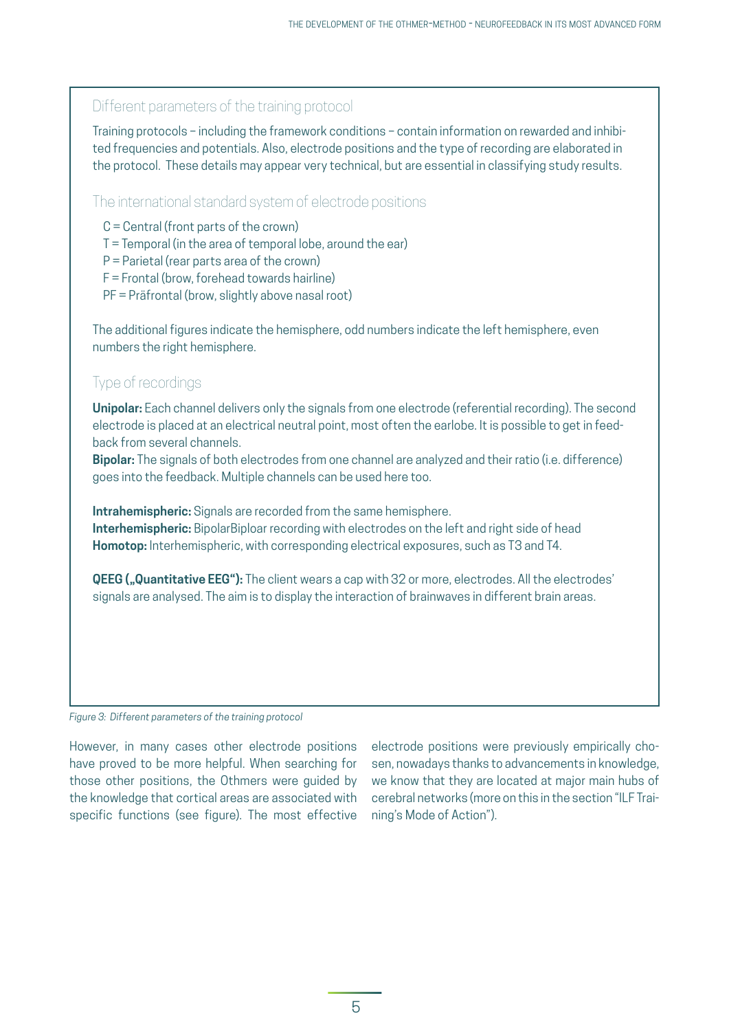| Different parameters of the training protocol                                                                                                                                                                                                                                                                                                                                                                                      |
|------------------------------------------------------------------------------------------------------------------------------------------------------------------------------------------------------------------------------------------------------------------------------------------------------------------------------------------------------------------------------------------------------------------------------------|
| Training protocols - including the framework conditions - contain information on rewarded and inhibi-<br>ted frequencies and potentials. Also, electrode positions and the type of recording are elaborated in<br>the protocol. These details may appear very technical, but are essential in classifying study results.                                                                                                           |
| The international standard system of electrode positions                                                                                                                                                                                                                                                                                                                                                                           |
| $C =$ Central (front parts of the crown)<br>T = Temporal (in the area of temporal lobe, around the ear)<br>$P =$ Parietal (rear parts area of the crown)<br>F = Frontal (brow, forehead towards hairline)<br>PF = Präfrontal (brow, slightly above nasal root)                                                                                                                                                                     |
| The additional figures indicate the hemisphere, odd numbers indicate the left hemisphere, even<br>numbers the right hemisphere.                                                                                                                                                                                                                                                                                                    |
| Type of recordings                                                                                                                                                                                                                                                                                                                                                                                                                 |
| Unipolar: Each channel delivers only the signals from one electrode (referential recording). The second<br>electrode is placed at an electrical neutral point, most often the earlobe. It is possible to get in feed-<br>back from several channels.<br>Bipolar: The signals of both electrodes from one channel are analyzed and their ratio (i.e. difference)<br>goes into the feedback. Multiple channels can be used here too. |
| Intrahemispheric: Signals are recorded from the same hemisphere.                                                                                                                                                                                                                                                                                                                                                                   |
| Interhemispheric: BipolarBiploar recording with electrodes on the left and right side of head<br>Homotop: Interhemispheric, with corresponding electrical exposures, such as T3 and T4.                                                                                                                                                                                                                                            |
| QEEG ("Quantitative EEG"): The client wears a cap with 32 or more, electrodes. All the electrodes'<br>signals are analysed. The aim is to display the interaction of brainwaves in different brain areas.                                                                                                                                                                                                                          |
|                                                                                                                                                                                                                                                                                                                                                                                                                                    |
|                                                                                                                                                                                                                                                                                                                                                                                                                                    |
| $\sim$ $\sim$ $\sim$                                                                                                                                                                                                                                                                                                                                                                                                               |

*Figure 3: Different parameters of the training protocol*

However, in many cases other electrode positions have proved to be more helpful. When searching for those other positions, the Othmers were guided by the knowledge that cortical areas are associated with specific functions (see figure). The most effective

electrode positions were previously empirically chosen, nowadays thanks to advancements in knowledge, we know that they are located at major main hubs of cerebral networks (more on this in the section "ILF Training's Mode of Action").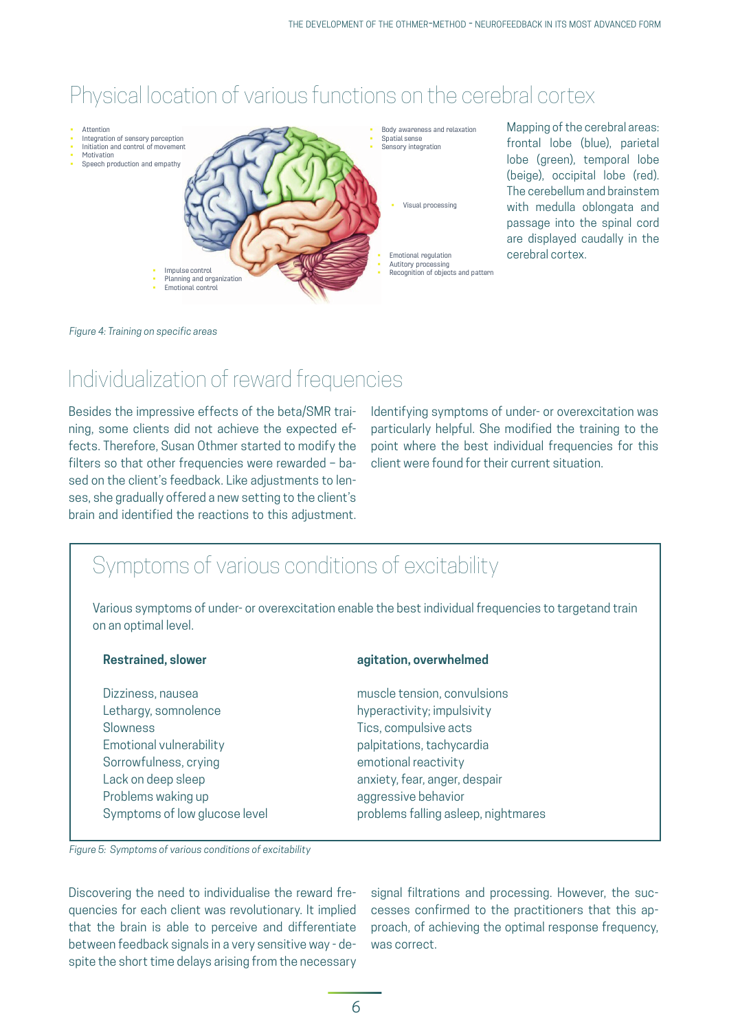# Physical location of various functions on the cerebral cortex



Mapping of the cerebral areas: frontal lobe (blue), parietal lobe (green), temporal lobe (beige), occipital lobe (red). The cerebellum and brainstem with medulla oblongata and passage into the spinal cord are displayed caudally in the cerebral cortex.

#### *Figure 4: Training on specific areas*

### Individualization of reward frequencies

Besides the impressive effects of the beta/SMR training, some clients did not achieve the expected effects. Therefore, Susan Othmer started to modify the filters so that other frequencies were rewarded – based on the client's feedback. Like adjustments to lenses, she gradually offered a new setting to the client's brain and identified the reactions to this adjustment.

Identifying symptoms of under- or overexcitation was particularly helpful. She modified the training to the point where the best individual frequencies for this client were found for their current situation.

### Symptoms of various conditions of excitability

Various symptoms of under- or overexcitation enable the best individual frequencies to targetand train on an optimal level.

Lethargy, somnolence hyperactivity; impulsivity Slowness Tics, compulsive acts Emotional vulnerability palpitations, tachycardia Sorrowfulness, crying emotional reactivity Lack on deep sleep anxiety, fear, anger, despair Problems waking up and aggressive behavior

#### **Restrained, slower agitation, overwhelmed**

Dizziness, nausea muscle tension, convulsions Symptoms of low glucose level example problems falling asleep, nightmares

*Figure 5: Symptoms of various conditions of excitability*

Discovering the need to individualise the reward frequencies for each client was revolutionary. It implied that the brain is able to perceive and differentiate between feedback signals in a very sensitive way - despite the short time delays arising from the necessary

signal filtrations and processing. However, the successes confirmed to the practitioners that this approach, of achieving the optimal response frequency, was correct.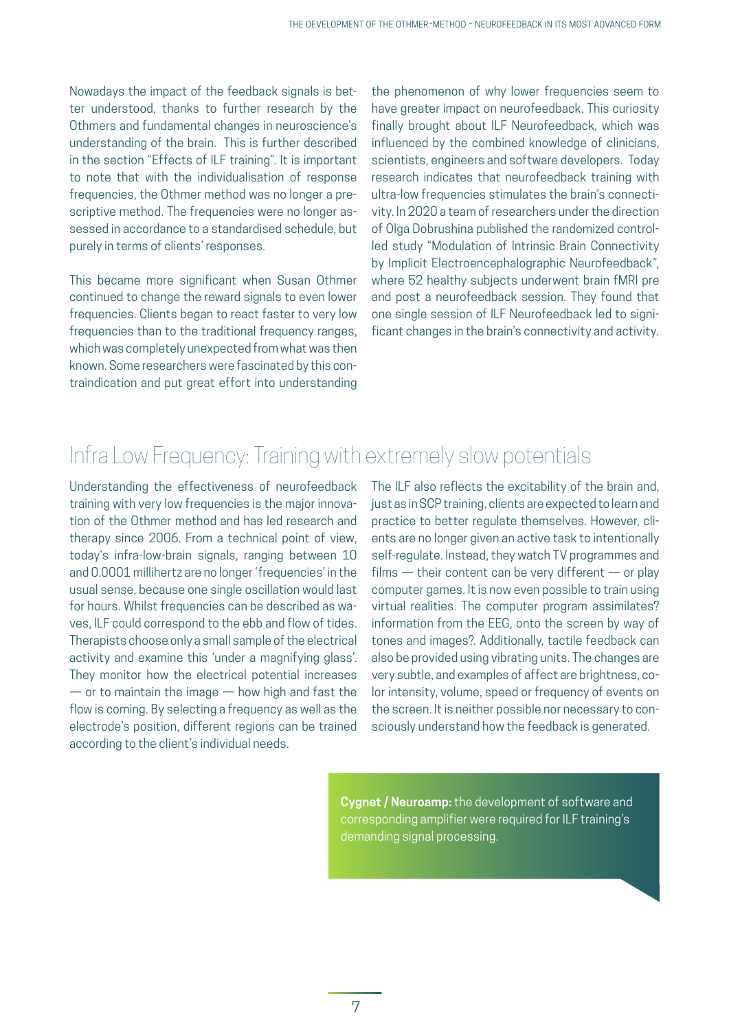Nowadays the impact of the feedback signals is better understood, thanks to further research by the Othmers and fundamental changes in neuroscience's understanding of the brain. This is further described in the section "Effects of ILF training". It is important to note that with the individualisation of response frequencies, the Othmer method was no longer a prescriptive method. The frequencies were no longer assessed in accordance to a standardised schedule, but purely in terms of clients' responses.

This became more significant when Susan Othmer continued to change the reward signals to even lower frequencies. Clients began to react faster to very low frequencies than to the traditional frequency ranges, which was completely unexpected from what was then known. Some researchers were fascinated by this contraindication and put great effort into understanding

the phenomenon of why lower frequencies seem to have greater impact on neurofeedback. This curiosity finally brought about ILF Neurofeedback, which was influenced by the combined knowledge of clinicians, scientists, engineers and software developers. Today research indicates that neurofeedback training with ultra-low frequencies stimulates the brain's connectivity. In 2020 a team of researchers under the direction of Olga Dobrushina published the randomized controlled study "Modulation of Intrinsic Brain Connectivity by Implicit Electroencephalographic Neurofeedback", where 52 healthy subjects underwent brain fMRI pre and post a neurofeedback session. They found that one single session of ILF Neurofeedback led to significant changes in the brain's connectivity and activity.

# Infra Low Frequency: Training with extremely slow potentials

Understanding the effectiveness of neurofeedback training with very low frequencies is the major innovation of the Othmer method and has led research and therapy since 2006. From a technical point of view, today's infra-low-brain signals, ranging between 10 and 0.0001 millihertz are no longer 'frequencies' in the usual sense, because one single oscillation would last for hours. Whilst frequencies can be described as waves, ILF could correspond to the ebb and flow of tides. Therapists choose only a small sample of the electrical activity and examine this 'under a magnifying glass'. They monitor how the electrical potential increases  $-$  or to maintain the image  $-$  how high and fast the flow is coming. By selecting a frequency as well as the electrode's position, different regions can be trained according to the client's individual needs.

The ILF also reflects the excitability of the brain and, just as in SCP training, clients are expected to learn and practice to better regulate themselves. However, clients are no longer given an active task to intentionally self-regulate. Instead, they watch TV programmes and  $films$  — their content can be very different — or play computer games. It is now even possible to train using virtual realities. The computer program assimilates? information from the EEG, onto the screen by way of tones and images?. Additionally, tactile feedback can also be provided using vibrating units. The changes are very subtle, and examples of affect are brightness, color intensity, volume, speed or frequency of events on the screen. It is neither possible nor necessary to consciously understand how the feedback is generated.

**Cygnet / Neuroamp:** the development of software and corresponding amplifier were required for ILF training's demanding signal processing.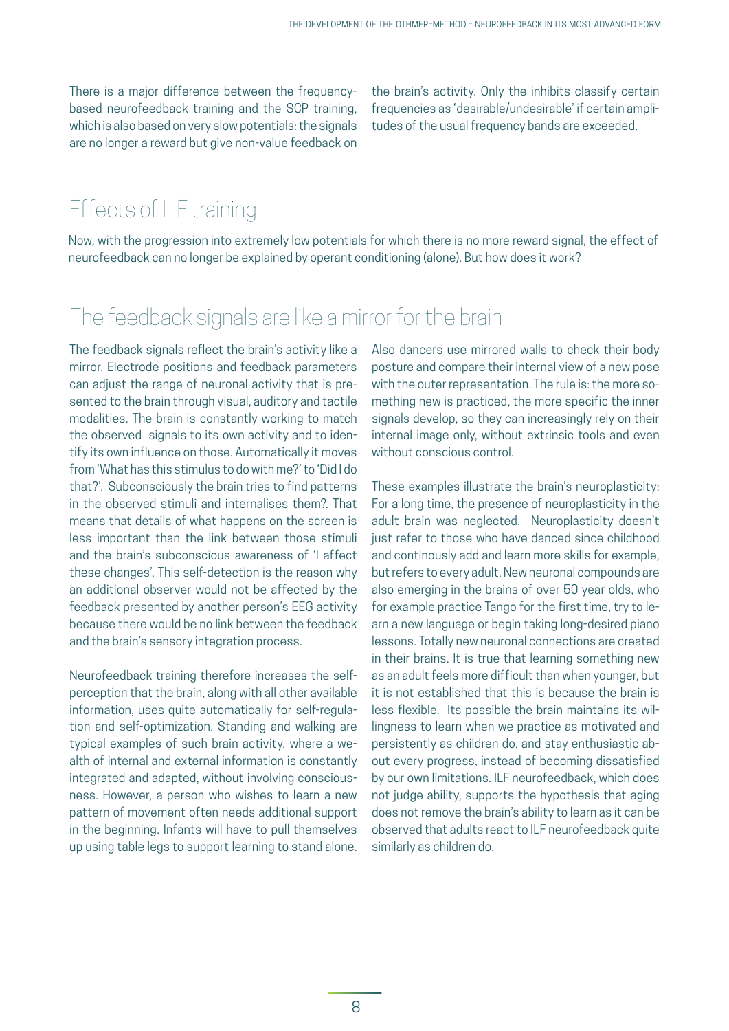There is a major difference between the frequencybased neurofeedback training and the SCP training, which is also based on very slow potentials: the signals are no longer a reward but give non-value feedback on

the brain's activity. Only the inhibits classify certain frequencies as 'desirable/undesirable' if certain amplitudes of the usual frequency bands are exceeded.

# Effects of ILF training

Now, with the progression into extremely low potentials for which there is no more reward signal, the effect of neurofeedback can no longer be explained by operant conditioning (alone). But how does it work?

### The feedback signals are like a mirror for the brain

The feedback signals reflect the brain's activity like a mirror. Electrode positions and feedback parameters can adjust the range of neuronal activity that is presented to the brain through visual, auditory and tactile modalities. The brain is constantly working to match the observed signals to its own activity and to identify its own influence on those. Automatically it moves from 'What has this stimulus to do with me?' to 'Did I do that?'. Subconsciously the brain tries to find patterns in the observed stimuli and internalises them?. That means that details of what happens on the screen is less important than the link between those stimuli and the brain's subconscious awareness of 'I affect these changes'. This self-detection is the reason why an additional observer would not be affected by the feedback presented by another person's EEG activity because there would be no link between the feedback and the brain's sensory integration process.

Neurofeedback training therefore increases the selfperception that the brain, along with all other available information, uses quite automatically for self-regulation and self-optimization. Standing and walking are typical examples of such brain activity, where a wealth of internal and external information is constantly integrated and adapted, without involving consciousness. However, a person who wishes to learn a new pattern of movement often needs additional support in the beginning. Infants will have to pull themselves up using table legs to support learning to stand alone.

Also dancers use mirrored walls to check their body posture and compare their internal view of a new pose with the outer representation. The rule is: the more something new is practiced, the more specific the inner signals develop, so they can increasingly rely on their internal image only, without extrinsic tools and even without conscious control.

These examples illustrate the brain's neuroplasticity: For a long time, the presence of neuroplasticity in the adult brain was neglected. Neuroplasticity doesn't just refer to those who have danced since childhood and continously add and learn more skills for example, but refers to every adult. New neuronal compounds are also emerging in the brains of over 50 year olds, who for example practice Tango for the first time, try to learn a new language or begin taking long-desired piano lessons. Totally new neuronal connections are created in their brains. It is true that learning something new as an adult feels more difficult than when younger, but it is not established that this is because the brain is less flexible. Its possible the brain maintains its willingness to learn when we practice as motivated and persistently as children do, and stay enthusiastic about every progress, instead of becoming dissatisfied by our own limitations. ILF neurofeedback, which does not judge ability, supports the hypothesis that aging does not remove the brain's ability to learn as it can be observed that adults react to ILF neurofeedback quite similarly as children do.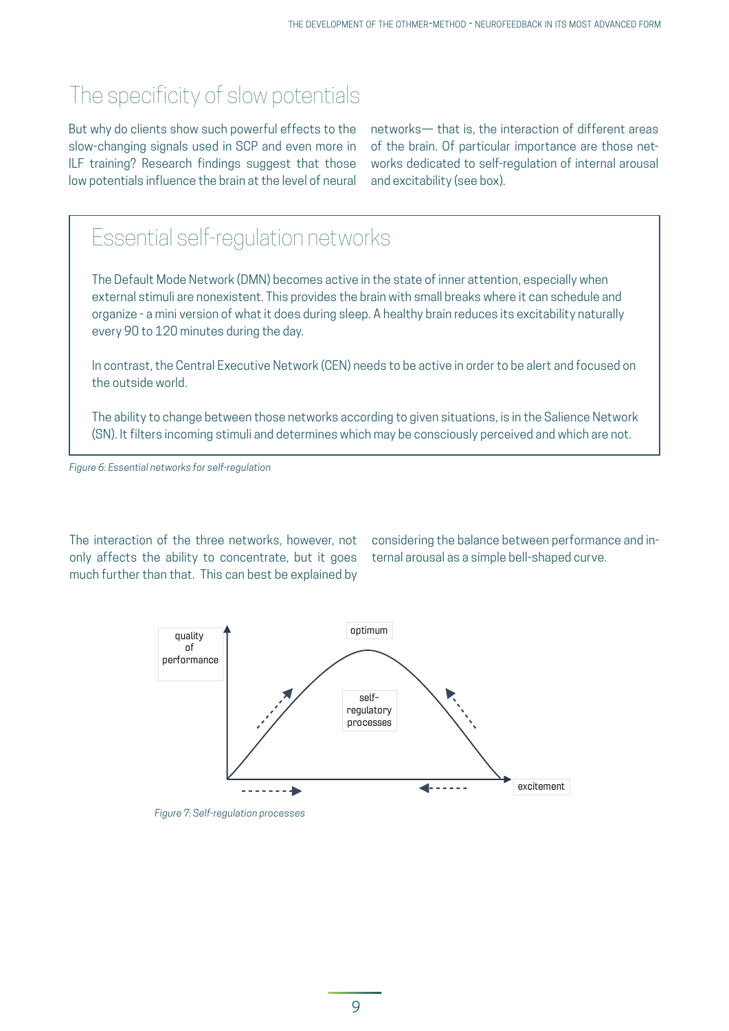# The specificity of slow potentials

But why do clients show such powerful effects to the slow-changing signals used in SCP and even more in ILF training? Research findings suggest that those low potentials influence the brain at the level of neural

networks— that is, the interaction of different areas of the brain. Of particular importance are those networks dedicated to self-regulation of internal arousal and excitability (see box).

# Essential self-regulation networks

The Default Mode Network (DMN) becomes active in the state of inner attention, especially when external stimuli are nonexistent. This provides the brain with small breaks where it can schedule and organize - a mini version of what it does during sleep. A healthy brain reduces its excitability naturally every 90 to 120 minutes during the day.

In contrast, the Central Executive Network (CEN) needs to be active in order to be alert and focused on the outside world.

The ability to change between those networks according to given situations, is in the Salience Network (SN). It filters incoming stimuli and determines which may be consciously perceived and which are not.

*Figure 6: Essential networks for self-regulation*

The interaction of the three networks, however, not only affects the ability to concentrate, but it goes much further than that. This can best be explained by

considering the balance between performance and internal arousal as a simple bell-shaped curve.



*Figure 7: Self-regulation processes*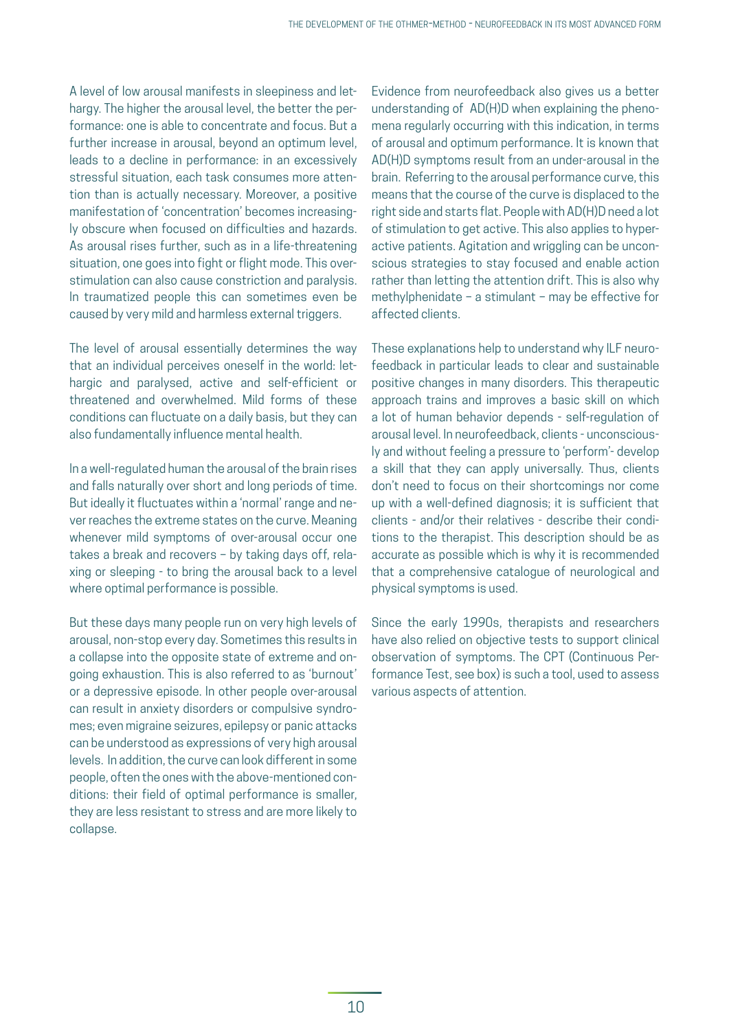A level of low arousal manifests in sleepiness and lethargy. The higher the arousal level, the better the performance: one is able to concentrate and focus. But a further increase in arousal, beyond an optimum level, leads to a decline in performance: in an excessively stressful situation, each task consumes more attention than is actually necessary. Moreover, a positive manifestation of 'concentration' becomes increasingly obscure when focused on difficulties and hazards. As arousal rises further, such as in a life-threatening situation, one goes into fight or flight mode. This overstimulation can also cause constriction and paralysis. In traumatized people this can sometimes even be caused by very mild and harmless external triggers.

The level of arousal essentially determines the way that an individual perceives oneself in the world: lethargic and paralysed, active and self-efficient or threatened and overwhelmed. Mild forms of these conditions can fluctuate on a daily basis, but they can also fundamentally influence mental health.

In a well-regulated human the arousal of the brain rises and falls naturally over short and long periods of time. But ideally it fluctuates within a 'normal' range and never reaches the extreme states on the curve. Meaning whenever mild symptoms of over-arousal occur one takes a break and recovers – by taking days off, relaxing or sleeping - to bring the arousal back to a level where optimal performance is possible.

But these days many people run on very high levels of arousal, non-stop every day. Sometimes this results in a collapse into the opposite state of extreme and ongoing exhaustion. This is also referred to as 'burnout' or a depressive episode. In other people over-arousal can result in anxiety disorders or compulsive syndromes; even migraine seizures, epilepsy or panic attacks can be understood as expressions of very high arousal levels. In addition, the curve can look different in some people, often the ones with the above-mentioned conditions: their field of optimal performance is smaller, they are less resistant to stress and are more likely to collapse.

Evidence from neurofeedback also gives us a better understanding of AD(H)D when explaining the phenomena regularly occurring with this indication, in terms of arousal and optimum performance. It is known that AD(H)D symptoms result from an under-arousal in the brain. Referring to the arousal performance curve, this means that the course of the curve is displaced to the right side and starts flat. People with AD(H)D need a lot of stimulation to get active. This also applies to hyperactive patients. Agitation and wriggling can be unconscious strategies to stay focused and enable action rather than letting the attention drift. This is also why methylphenidate – a stimulant – may be effective for affected clients.

These explanations help to understand why ILF neurofeedback in particular leads to clear and sustainable positive changes in many disorders. This therapeutic approach trains and improves a basic skill on which a lot of human behavior depends - self-regulation of arousal level. In neurofeedback, clients - unconsciously and without feeling a pressure to 'perform'- develop a skill that they can apply universally. Thus, clients don't need to focus on their shortcomings nor come up with a well-defined diagnosis; it is sufficient that clients - and/or their relatives - describe their conditions to the therapist. This description should be as accurate as possible which is why it is recommended that a comprehensive catalogue of neurological and physical symptoms is used.

Since the early 1990s, therapists and researchers have also relied on objective tests to support clinical observation of symptoms. The CPT (Continuous Performance Test, see box) is such a tool, used to assess various aspects of attention.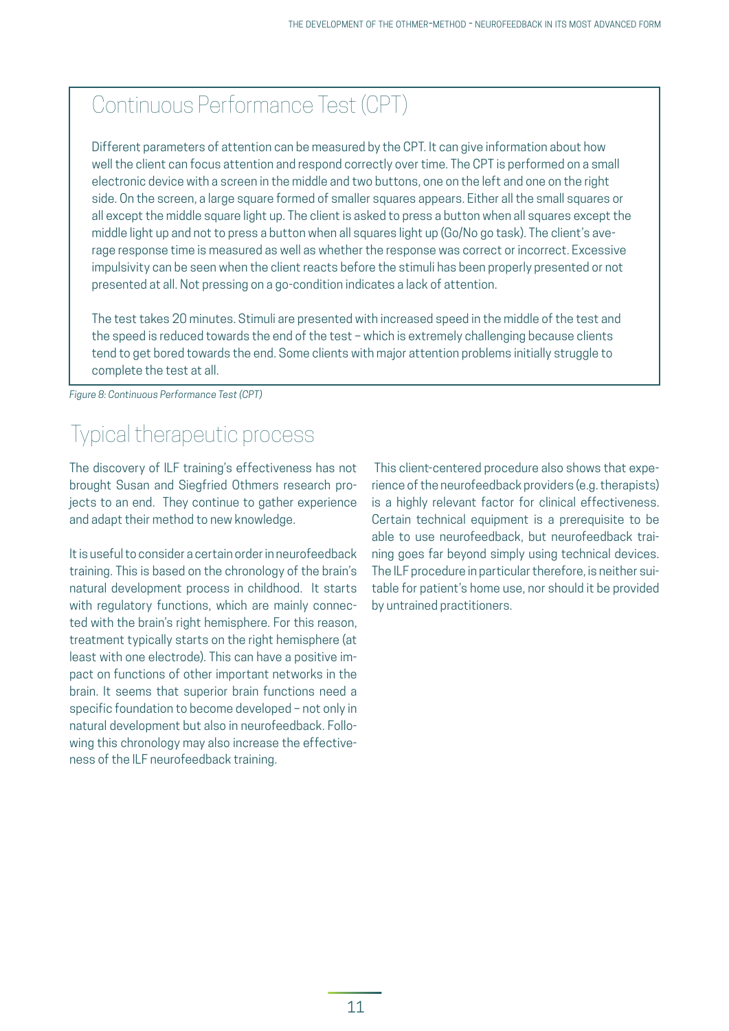# Continuous Performance Test (CPT)

Different parameters of attention can be measured by the CPT. It can give information about how well the client can focus attention and respond correctly over time. The CPT is performed on a small electronic device with a screen in the middle and two buttons, one on the left and one on the right side. On the screen, a large square formed of smaller squares appears. Either all the small squares or all except the middle square light up. The client is asked to press a button when all squares except the middle light up and not to press a button when all squares light up (Go/No go task). The client's average response time is measured as well as whether the response was correct or incorrect. Excessive impulsivity can be seen when the client reacts before the stimuli has been properly presented or not presented at all. Not pressing on a go-condition indicates a lack of attention.

The test takes 20 minutes. Stimuli are presented with increased speed in the middle of the test and the speed is reduced towards the end of the test – which is extremely challenging because clients tend to get bored towards the end. Some clients with major attention problems initially struggle to complete the test at all.

*Figure 8: Continuous Performance Test (CPT)*

### Typical therapeutic process

The discovery of ILF training's effectiveness has not brought Susan and Siegfried Othmers research projects to an end. They continue to gather experience and adapt their method to new knowledge.

It is useful to consider a certain order in neurofeedback training. This is based on the chronology of the brain's natural development process in childhood. It starts with regulatory functions, which are mainly connected with the brain's right hemisphere. For this reason, treatment typically starts on the right hemisphere (at least with one electrode). This can have a positive impact on functions of other important networks in the brain. It seems that superior brain functions need a specific foundation to become developed – not only in natural development but also in neurofeedback. Following this chronology may also increase the effectiveness of the ILF neurofeedback training.

This client-centered procedure also shows that experience of the neurofeedback providers (e.g. therapists) is a highly relevant factor for clinical effectiveness. Certain technical equipment is a prerequisite to be able to use neurofeedback, but neurofeedback training goes far beyond simply using technical devices. The ILF procedure in particular therefore, is neither suitable for patient's home use, nor should it be provided by untrained practitioners.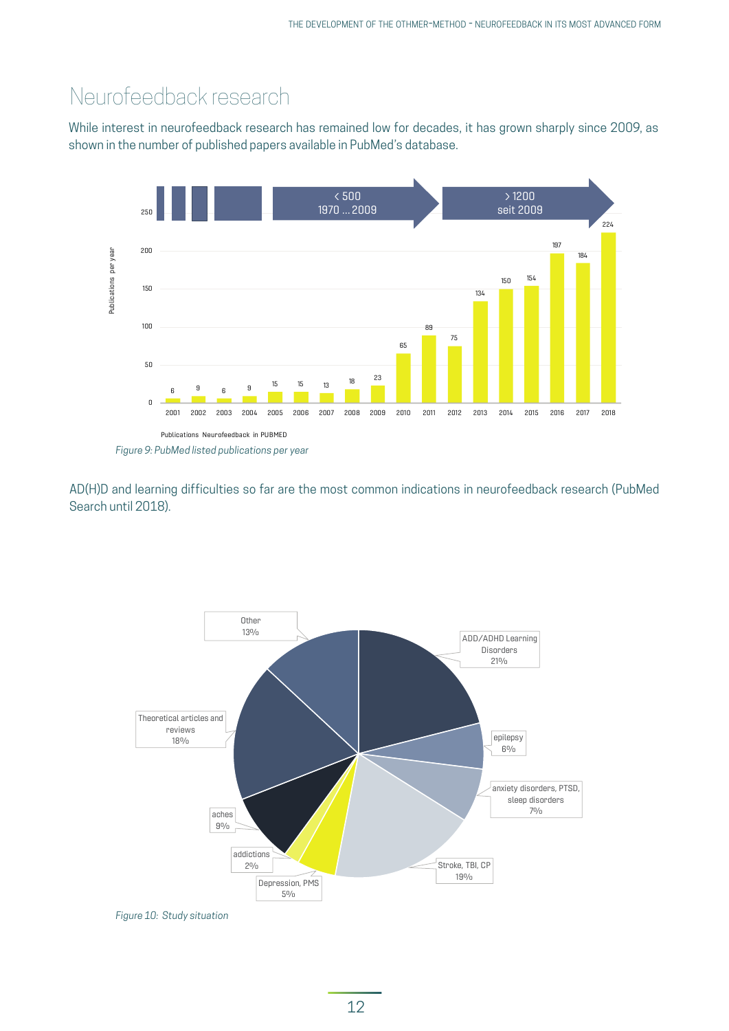### Neurofeedback research

While interest in neurofeedback research has remained low for decades, it has grown sharply since 2009, as shown in the number of published papers available in PubMed's database.



AD(H)D and learning difficulties so far are the most common indications in neurofeedback research (PubMed Search until 2018).



*Figure 10: Study situation*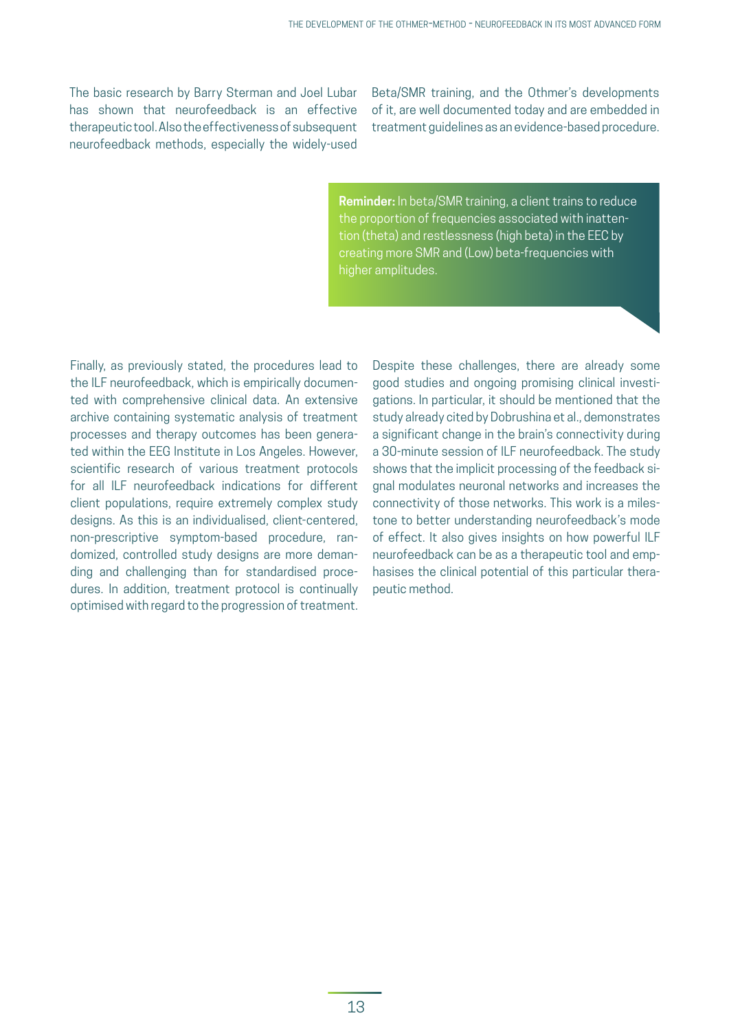The basic research by Barry Sterman and Joel Lubar has shown that neurofeedback is an effective therapeutic tool. Also the effectiveness of subsequent neurofeedback methods, especially the widely-used

Beta/SMR training, and the Othmer's developments of it, are well documented today and are embedded in treatment guidelines as an evidence-based procedure.

**Reminder:** In beta/SMR training, a client trains to reduce the proportion of frequencies associated with inattention (theta) and restlessness (high beta) in the EEC by creating more SMR and (Low) beta-frequencies with higher amplitudes.

Finally, as previously stated, the procedures lead to the ILF neurofeedback, which is empirically documented with comprehensive clinical data. An extensive archive containing systematic analysis of treatment processes and therapy outcomes has been generated within the EEG Institute in Los Angeles. However, scientific research of various treatment protocols for all ILF neurofeedback indications for different client populations, require extremely complex study designs. As this is an individualised, client-centered, non-prescriptive symptom-based procedure, randomized, controlled study designs are more demanding and challenging than for standardised procedures. In addition, treatment protocol is continually optimised with regard to the progression of treatment.

Despite these challenges, there are already some good studies and ongoing promising clinical investigations. In particular, it should be mentioned that the study already cited by Dobrushina et al., demonstrates a significant change in the brain's connectivity during a 30-minute session of ILF neurofeedback. The study shows that the implicit processing of the feedback signal modulates neuronal networks and increases the connectivity of those networks. This work is a milestone to better understanding neurofeedback's mode of effect. It also gives insights on how powerful ILF neurofeedback can be as a therapeutic tool and emphasises the clinical potential of this particular therapeutic method.